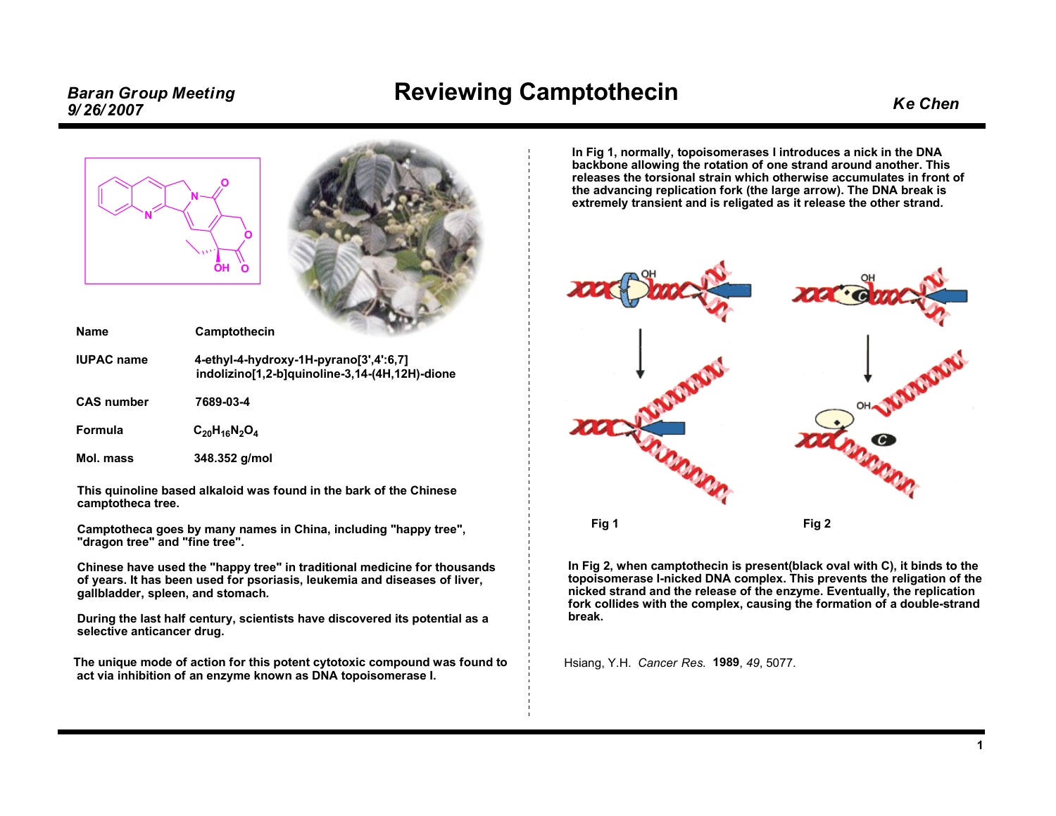## Baran Group Meeting **Exercic Camptothecin**<br>9/26/2007 **Reviewing Camptothecin**



Name Camptothecin



| name              | <b>Valliptotilgelli</b>                                                                  |
|-------------------|------------------------------------------------------------------------------------------|
| <b>IUPAC</b> name | 4-ethyl-4-hydroxy-1H-pyrano[3',4':6,7]<br>indolizino[1,2-b]quinoline-3,14-(4H,12H)-dione |
| <b>CAS number</b> | 7689-03-4                                                                                |
| Formula           | $C_{20}H_{16}N_2O_4$                                                                     |
| Mol. mass         | 348.352 g/mol                                                                            |

This quinoline based alkaloid was found in the bark of the Chinese camptotheca tree.

Camptotheca goes by many names in China, including "happy tree", "dragon tree" and "fine tree".

Chinese have used the "happy tree" in traditional medicine for thousands of years. It has been used for psoriasis, leukemia and diseases of liver, gallbladder, spleen, and stomach.

During the last half century, scientists have discovered its potential as <sup>a</sup> selective anticancer drug.

The unique mode of action for this potent cytotoxic compound was found to act via inhibition of an enzyme known as DNA topoisomerase I.

In Fig 1, normally, topoisomerases <sup>I</sup> introduces <sup>a</sup> nick in the DNA backbone allowing the rotation of one strand around another. This releases the torsional strain which otherwise accumulates in front of the advancing replication fork (the large arrow). The DNA break is extremely transient and is religated as it release the other strand.



In Fig 2, when camptothecin is present(black oval with C), it binds to the topoisomerase I-nicked DNA complex. This prevents the religation of the nicked strand and the release of the enzyme. Eventually, the replication fork collides with the complex, causing the formation of <sup>a</sup> double-strand break.

Hsiang, Y.H. Cancer Res. <sup>1989</sup>, <sup>49</sup>, 5077.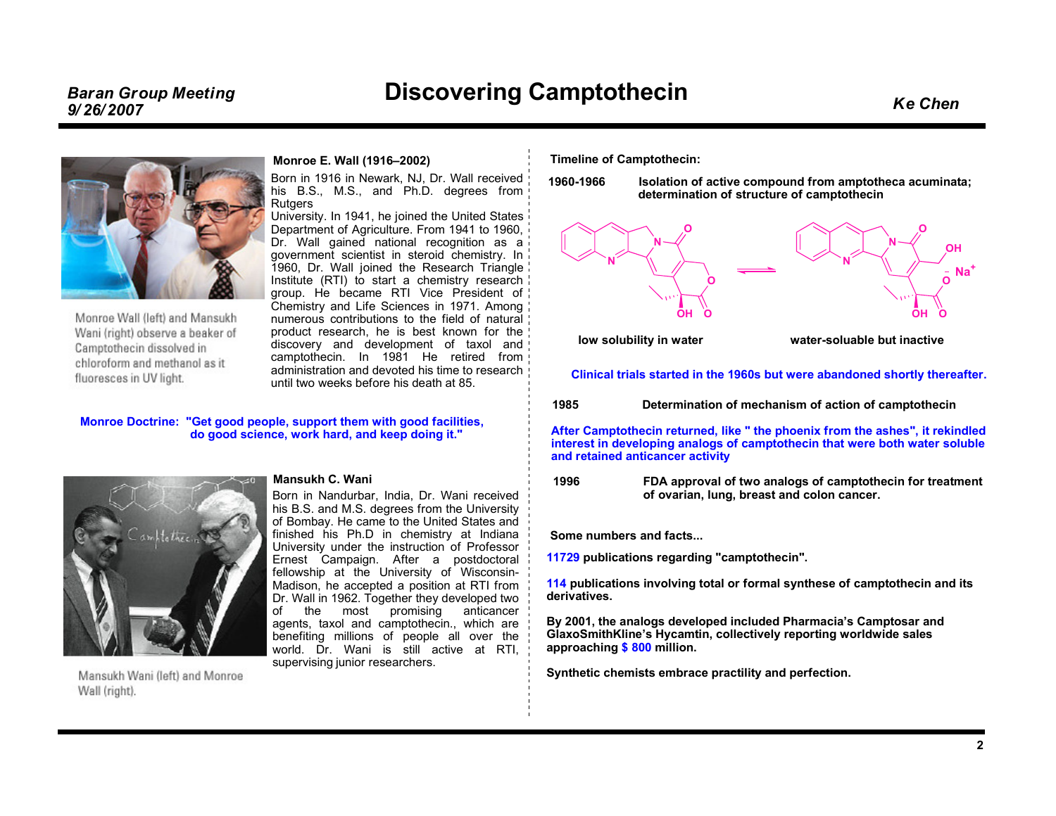### Discovering Camptothecin Ke Chen Baran Group Meeting 9/ 26/ <sup>2007</sup>



Monroe Wall (left) and Mansukh Wani (right) observe a beaker of Camptothecin dissolved in chloroform and methanol as it fluoresces in UV light.

### Monroe E. Wall (1916–2002)

Born in <sup>1916</sup> in Newark, NJ, Dr. Wall received his B.S., M.S., and Ph.D. degrees fromRutgers

 University. In 1941, he joined the United States Department of Agriculture. From <sup>1941</sup> to 1960, Dr. Wall gained national recognition as <sup>a</sup> government scientist in steroid chemistry. In 1960, Dr. Wall joined the Research Triangle Institute (RTI) to start <sup>a</sup> chemistry research group. He became RTI Vice President of Chemistry and Life Sciences in 1971. Among numerous contributions to the field of natural product research, he is best known for the discovery and development of taxol and camptothecin. In <sup>1981</sup> He retired fromadministration and devoted his time to research<br>until two wooks before his dooth at 85 until two weeks before his death at 85.

### Monroe Doctrine: "Get good people, support them with good facilities, do good science, work hard, and keep doing it."



Mansukh Wani (left) and Monroe Wall (right).

### Mansukh C. Wani

Born in Nandurbar, India, Dr. Wani received his B.S. and M.S. degrees from the University of Bombay. He came to the United States and finished his Ph.D in chemistry at Indiana University under the instruction of Professor Ernest Campaign. After <sup>a</sup> postdoctoral fellowship at the University of Wisconsin-Madison, he accepted <sup>a</sup> position at RTI from Dr. Wall in 1962. Together they developed two of the most promising anticancer<br>coopts taxel\_and\_camptothosin\_which\_are agents, taxol and camptothecin., which are<br>bonofiting millions of poople all over the benefiting millions of people all over the world. Dr. Wani is still active at RTI, supervising junior researchers.

Timeline of Camptothecin:

1960-1966 Isolation of active compound from amptotheca acuminata; determination of structure of camptothecin



Clinical trials started in the 1960s but were abandoned shortly thereafter.

<sup>1985</sup> Determination of mechanism of action of camptothecin

After Camptothecin returned, like " the phoenix from the ashes", it rekindled interest in developing analogs of camptothecin that were both water soluble and retained anticancer activity

<sup>1996</sup> FDA approval of two analogs of camptothecin for treatment of ovarian, lung, breast and colon cancer.

Some numbers and facts...

11729 publications regarding "camptothecin".

114 publications involving total or formal synthese of camptothecin and its<br>derivatives derivatives.

By 2001, the analogs developed included Pharmacia's Camptosar and GlaxoSmithKline's Hycamtin, collectively reporting worldwide sales approaching <mark>\$ 800</mark> million.

Synthetic chemists embrace practility and perfection.

2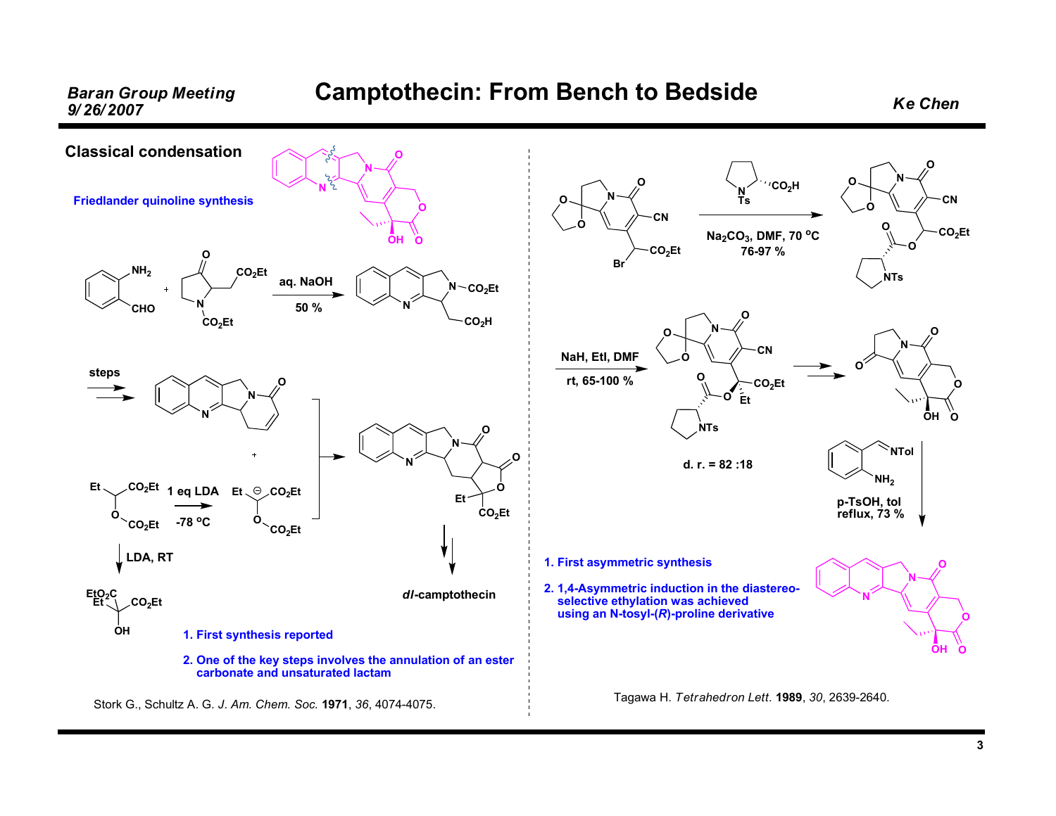### Baran Group Meeting Camptothecin: From Bench to Bedside Ke Chen<br>9/26/2007



3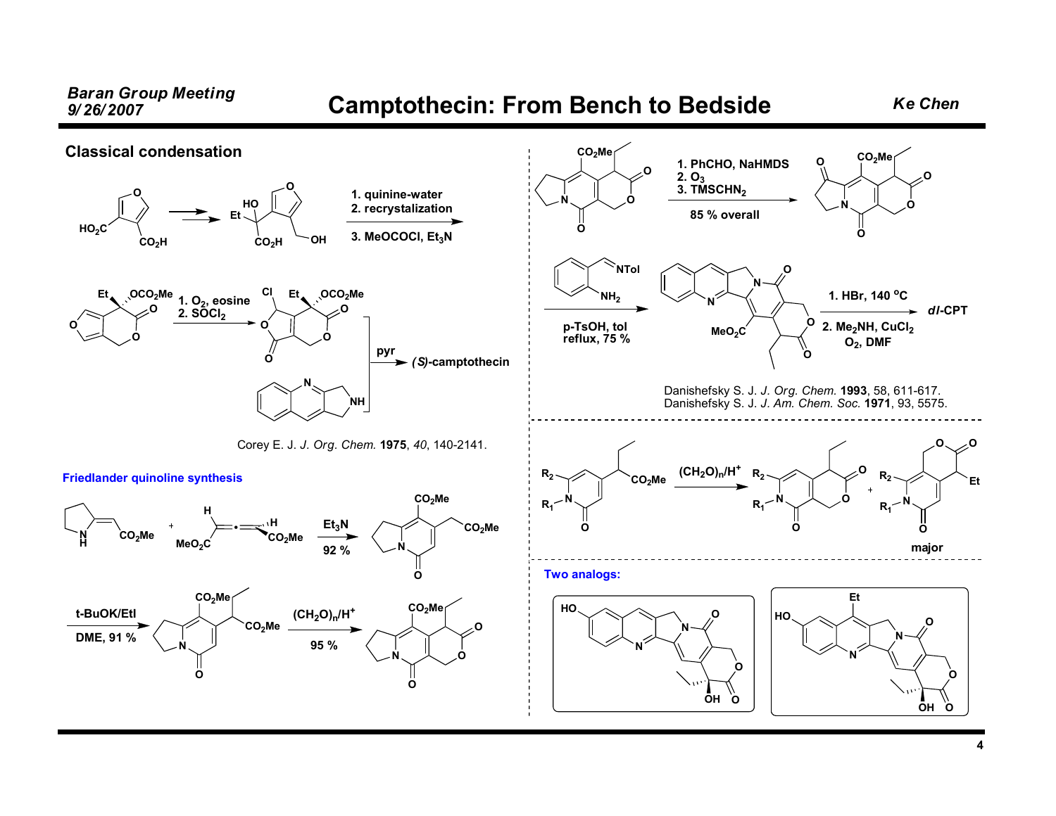Baran Group Meeting **Camptothecin: From Bench to Bedside** Ke Chen<br>9/26/2007 Classical condensation Friedlander quinoline synthesis  $NH<sub>2</sub>$ NTolp-TsOH, tol<br>roflux, 75 % reflux, <sup>75</sup> %NHCO<sub>2</sub>Me  $MeO<sub>2</sub>C$ • $\mathsf{CO_2Me}$ HH $Et<sub>3</sub>N$ <sup>92</sup> %%  $\vee$ <sup>N</sup> OCO<sub>2</sub>Me CO2Met-BuOK/EtIDME, <sup>91</sup> % $\sim$   $\sim$  N O $CO<sub>2</sub>Me<sub>1</sub>$  $CO<sub>2</sub>Me$  $(CH_2O)_{n}/H^+$ <sup>95</sup> %NO $CO<sub>2</sub>Me<sub>1</sub>$ OONOCO2MeOOONNOOO $MeO<sub>2</sub>C$ 1. HBr, 140 °C 2. Me<sub>2</sub>NH, CuCl<sub>2</sub>  $O_2$ , DMF NNOOOH <sup>O</sup>NNOOOH O HOHO. EtDanishefsky S. J. J. Org. Chem. <sup>1993</sup>, 58, 611-617. Danishefsky S. J. J. Am. Chem. Soc. <sup>1971</sup>, 93, 5575. Two analogs: Corey E. J. J. Org. Chem. <sup>1975</sup>, <sup>40</sup>, 140-2141. OHO<sub>2</sub>C  $CO<sub>2</sub>H$ OEtсо $_{\rm 2}$ н  $\sim$ он HOOOOEt  $\_{\rm OCO_{2}Me}$ OOOEt  $\bigcirc$  OCO $_2$ Me OClNNH1. quinine-water 2. recrystalization 3. MeOCOCI, Et<sub>3</sub>N pyr $\blacktriangleright$  (S)-camptothecin 1.  $O_2$ , eosine  $2. S\overline{O}Cl<sub>2</sub>$ NO $CO<sub>2</sub>Me$ OO0  $1.$  PhCHO, NaHMDS<br>2. O<sub>3</sub><br>2. TMSCHN 3. TMSCHN<sub>2</sub> <sup>85</sup> % overall  $\rightarrow$  dl-CPT N $R<sub>2</sub>$  $R<sub>1</sub>$ OCO<sub>2</sub>Me  $(CH<sub>2</sub>O)<sub>n</sub>/H<sup>+</sup>$ N ${\sf R_2}$ R1OOON ${\sf R_2}$  $R_1$ O majorEtO $\circ \!\!\! \swarrow \!\! \circ$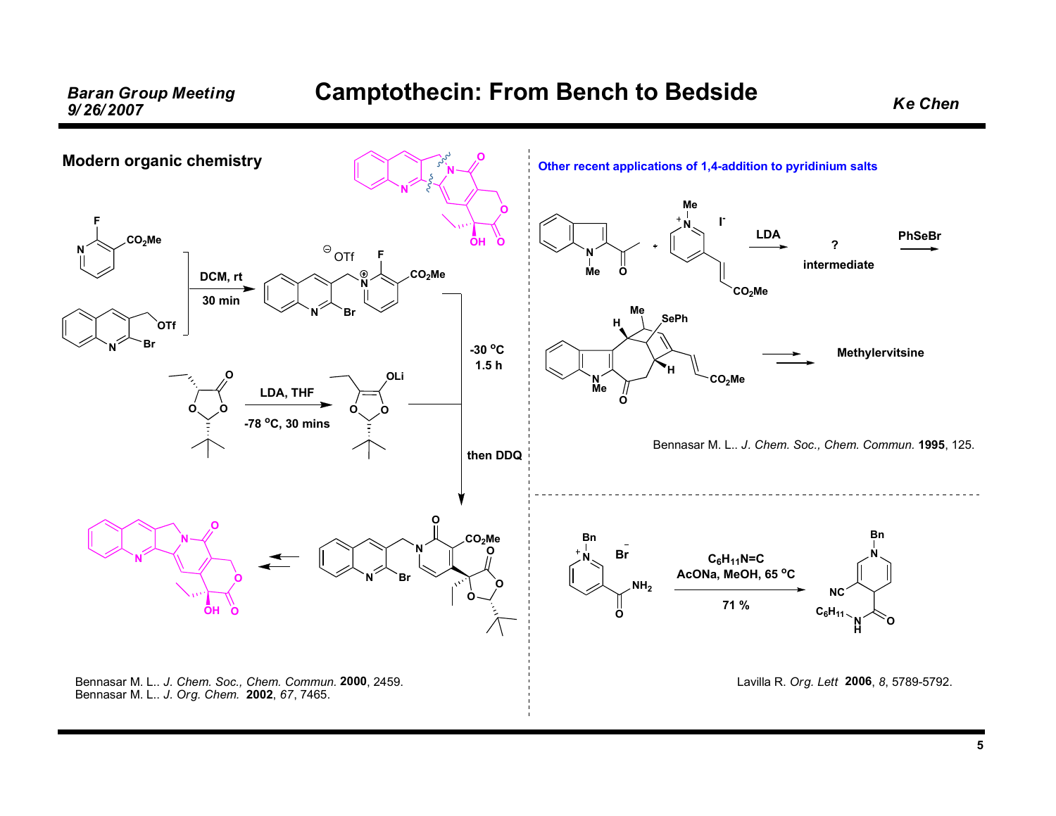# Baran Group Meeting Camptothecin: From Bench to Bedside Ke Chen<br>9/26/2007

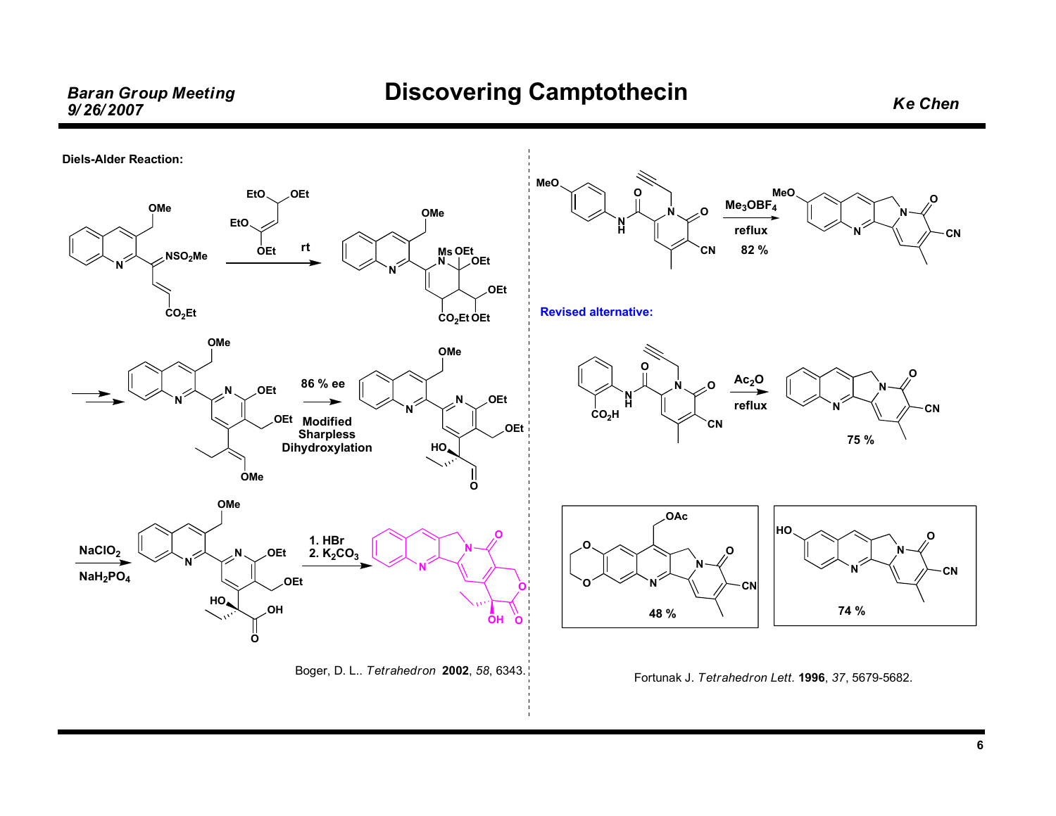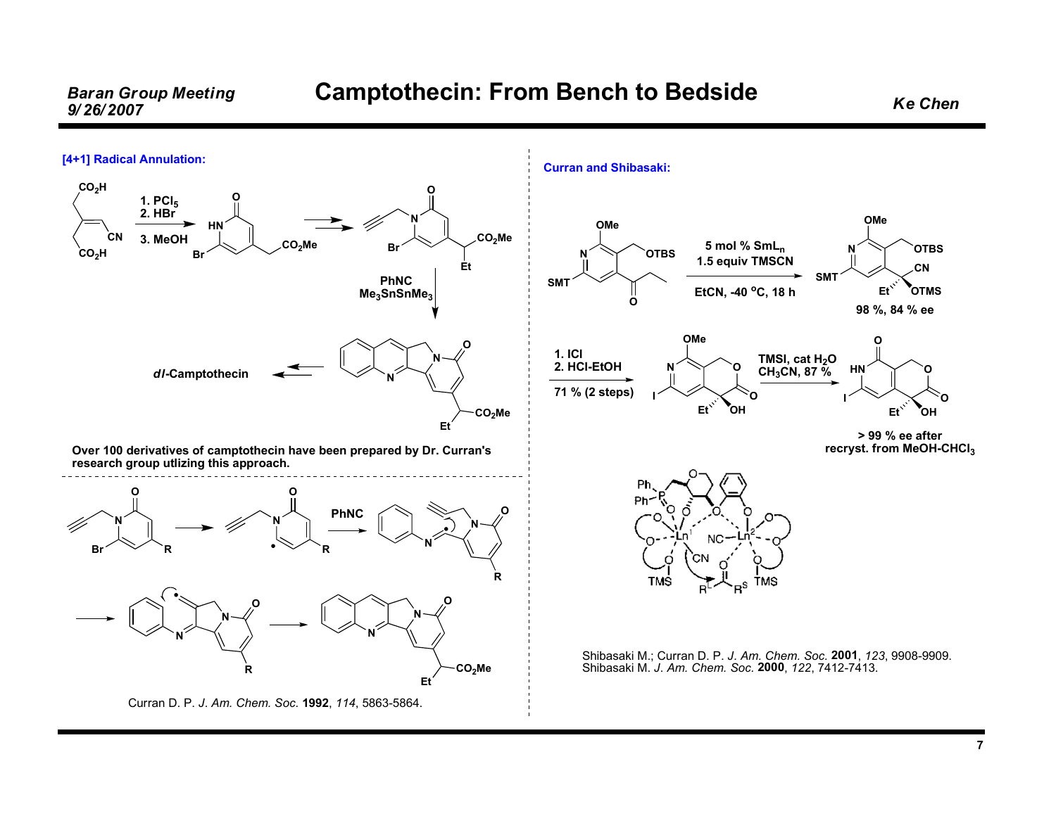## Baran Group Meeting Camptothecin: From Bench to Bedside Ke Chen<br>9/26/2007